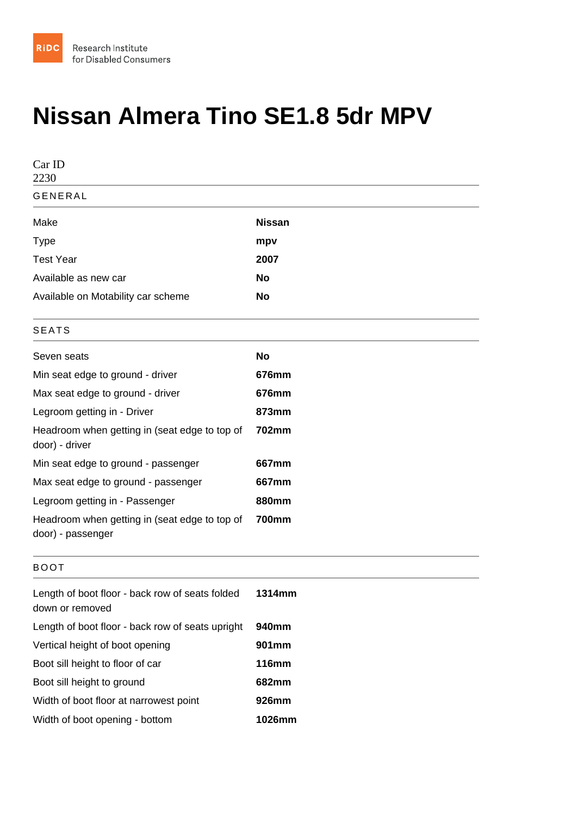## Nissan Almera Tino SE1.8 5dr MPV

| Car ID<br>2230                                                     |              |
|--------------------------------------------------------------------|--------------|
| <b>GENERAL</b>                                                     |              |
| Make                                                               | Nissan       |
| <b>Type</b>                                                        | mpv          |
| <b>Test Year</b>                                                   | 2007         |
| Available as new car                                               | No           |
| Available on Motability car scheme                                 | No           |
| <b>SEATS</b>                                                       |              |
| Seven seats                                                        | No           |
| Min seat edge to ground - driver                                   | 676mm        |
| Max seat edge to ground - driver                                   | 676mm        |
| Legroom getting in - Driver                                        | 873mm        |
| Headroom when getting in (seat edge to top of<br>door) - driver    | 702mm        |
| Min seat edge to ground - passenger                                | 667mm        |
| Max seat edge to ground - passenger                                | 667mm        |
| Legroom getting in - Passenger                                     | 880mm        |
| Headroom when getting in (seat edge to top of<br>door) - passenger | 700mm        |
| <b>BOOT</b>                                                        |              |
| Length of boot floor - back row of seats folded<br>down or removed | 1314mm       |
| Length of boot floor - back row of seats upright                   | 940mm        |
| Vertical height of boot opening                                    | 901mm        |
| Boot sill height to floor of car                                   | <b>116mm</b> |
| Boot sill height to ground                                         | 682mm        |
| Width of boot floor at narrowest point                             | 926mm        |
| Width of boot opening - bottom                                     | 1026mm       |